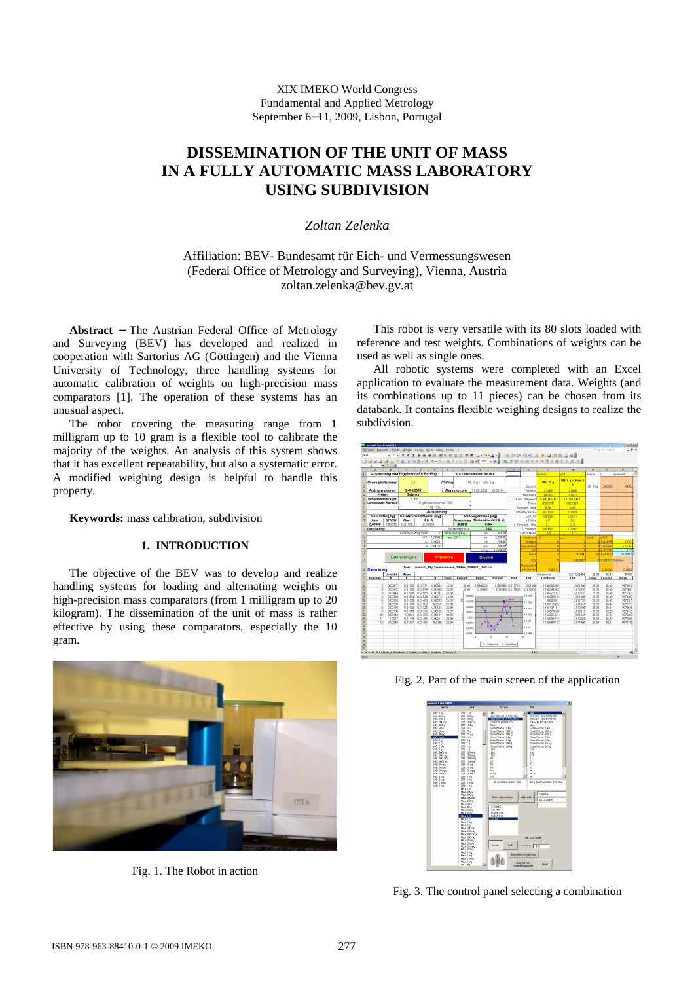XIX IMEKO World Congress Fundamental and Applied Metrology September 6−11, 2009, Lisbon, Portugal

# **DISSEMINATION OF THE UNIT OF MASS IN A FULLY AUTOMATIC MASS LABORATORY USING SUBDIVISION**

## *Zoltan Zelenka*

Affiliation: BEV- Bundesamt für Eich- und Vermessungswesen (Federal Office of Metrology and Surveying), Vienna, Austria [zoltan.zelenka@bev.gv.at](mailto:zoltan.zelenka@bev.gv.at)

**Abstract** − The Austrian Federal Office of Metrology and Surveying (BEV) has developed and realized in cooperation with Sartorius AG (Göttingen) and the Vienna University of Technology, three handling systems for automatic calibration of weights on high-precision mass comparators [1]. The operation of these systems has an unusual aspect.

The robot covering the measuring range from 1 milligram up to 10 gram is a flexible tool to calibrate the majority of the weights. An analysis of this system shows that it has excellent repeatability, but also a systematic error. A modified weighing design is helpful to handle this property.

**Keywords:** mass calibration, subdivision

## **1. INTRODUCTION**

The objective of the BEV was to develop and realize handling systems for loading and alternating weights on high-precision mass comparators (from 1 milligram up to 20 kilogram). The dissemination of the unit of mass is rather effective by using these comparators, especially the 10 gram.



Fig. 1. The Robot in action

This robot is very versatile with its 80 slots loaded with reference and test weights. Combinations of weights can be used as well as single ones.

All robotic systems were completed with an Excel application to evaluate the measurement data. Weights (and its combinations up to 11 pieces) can be chosen from its databank. It contains flexible weighing designs to realize the subdivision.



Fig. 2. Part of the main screen of the application

| <b>H</b><br>25th Like<br>Alle<br>LAR: 1 kg<br>$\sim$<br>187 (540-001/1995/452)<br>187 (540-001/1995/452)<br>100: 500 g<br>250: 500 g<br>100 (540-001/1995/451)<br>188: 200 p<br>255: 200 a<br>100 (540-001/1995/451)<br>(540-001/1994/258)<br>(540-001/1994/258)<br>188: 200 pg<br>258: 200 pg<br><b>Fairu</b><br>188: 100 g<br>258:100 o<br>New y<br>188:50 o<br>258: 50 g<br>EinzelStücke: 1 kg<br>EingelStücke: 1 kg<br>EinzelStücke: 100 g<br>EinzelStücke: 100 g<br>188:20 o<br>258: 20 g<br>188:20 pg<br>258: 20 pp<br>EinzelStücke: 200 g<br>EinzelStücke: 200 g<br>Finankhirlar 2 km<br>188:10g<br>258 10 n<br>FinantStücker 2 km<br>29h S.o.<br>FinantSticker S.kn<br>Finankhirley Slot<br>188.50<br>EnzelStücke: 10 kg<br>EinzelStücke: 10 kg<br>188.24<br>298.2 a<br>298:201<br>FinantStücker 20 kg<br>Finankhirley, 20 kg<br>188.200<br>115<br>115<br>188 1 g<br>298 L g<br>116<br>116<br>188: 500 mg<br>258: 500 mg<br>117<br>117<br>100:200 mg<br>258: 200 mg<br>E1<br>m<br>100: 200 mm<br>255: 200 mpg<br>t2<br>t2<br>188: 100 mg<br>255: 100 mg<br>m<br>81<br>188: 50 mg<br>258: 50 mg<br>jó.<br>s.<br>188: 20 mg<br>258: 20 mg<br>Mt<br>M1<br>188: 20 mpg<br>258: 20 mpg<br>M1-2<br>M1.2<br>188: 10 mg<br>258: 10 mg |
|---------------------------------------------------------------------------------------------------------------------------------------------------------------------------------------------------------------------------------------------------------------------------------------------------------------------------------------------------------------------------------------------------------------------------------------------------------------------------------------------------------------------------------------------------------------------------------------------------------------------------------------------------------------------------------------------------------------------------------------------------------------------------------------------------------------------------------------------------------------------------------------------------------------------------------------------------------------------------------------------------------------------------------------------------------------------------------------------------------------------------------------------------------------------------------------------------------------------------------------|
| M <sup>2</sup><br>188 Smn<br>$258.5$ mm<br>H2<br>188 2 mm<br>258 2 nm<br>10 g Seriennummer: 188<br>10 g Seriennummer: 188-Neu<br>188: 2 mpg<br>258: 2 mpg<br>258: 1 mg<br>188: 1 mg                                                                                                                                                                                                                                                                                                                                                                                                                                                                                                                                                                                                                                                                                                                                                                                                                                                                                                                                                                                                                                                   |

Fig. 3. The control panel selecting a combination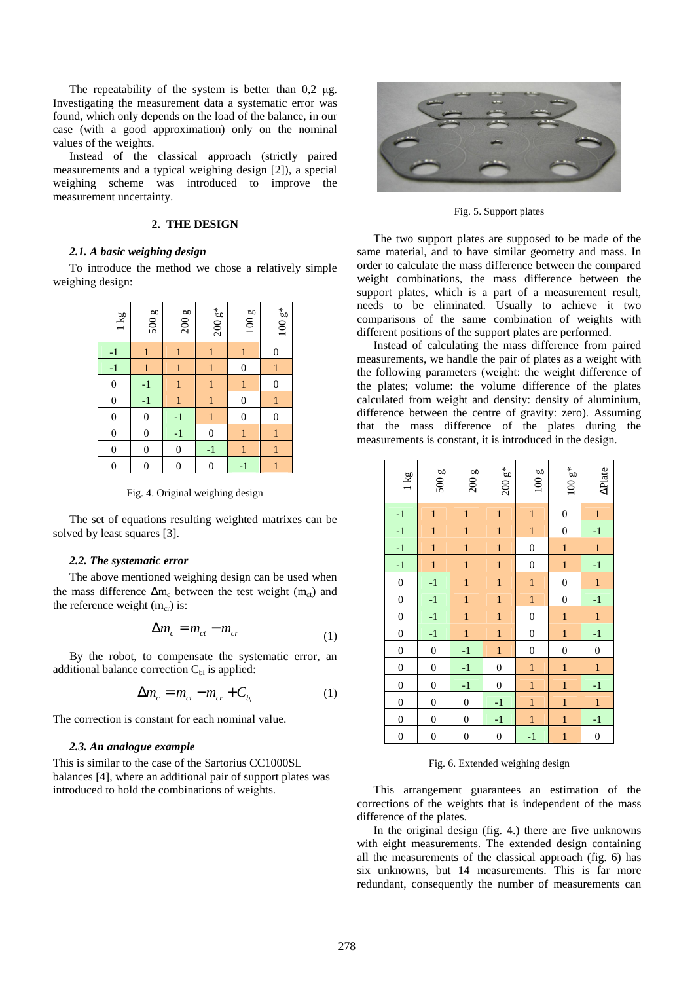The repeatability of the system is better than 0,2 μg. Investigating the measurement data a systematic error was found, which only depends on the load of the balance, in our case (with a good approximation) only on the nominal values of the weights.

Instead of the classical approach (strictly paired measurements and a typical weighing design [2]), a special weighing scheme was introduced to improve the measurement uncertainty.

## **2. THE DESIGN**

## *2.1. A basic weighing design*

To introduce the method we chose a relatively simple weighing design:

| 1 kg             | 500g             | 200g         | $200\,\mathrm{g}^*$ | 100g             | $100\,\mathrm{g}^*$ |
|------------------|------------------|--------------|---------------------|------------------|---------------------|
| $-1$             | 1                |              | 1                   | 1                | 0                   |
| $-1$             | 1                | 1            | 1                   | 0                | 1                   |
| $\boldsymbol{0}$ | $-1$             | 1            | 1                   | 1                | 0                   |
| $\boldsymbol{0}$ | $-1$             | 1            | 1                   | $\boldsymbol{0}$ | 1                   |
| $\boldsymbol{0}$ | $\overline{0}$   | $-1$         | 1                   | $\overline{0}$   | 0                   |
| $\mathbf{0}$     | $\boldsymbol{0}$ | $-1$         | $\boldsymbol{0}$    | 1                | $\mathbf{1}$        |
| $\boldsymbol{0}$ | $\boldsymbol{0}$ | $\mathbf{0}$ | $-1$                | 1                | 1                   |
| $\overline{0}$   | 0                | 0            | 0                   | $-1$             | 1                   |

Fig. 4. Original weighing design

The set of equations resulting weighted matrixes can be solved by least squares [3].

## *2.2. The systematic error*

The above mentioned weighing design can be used when the mass difference  $\Delta m_c$  between the test weight ( $m_{ct}$ ) and the reference weight  $(m_{cr})$  is:

$$
\Delta m_c = m_{ct} - m_{cr} \tag{1}
$$

By the robot, to compensate the systematic error, an additional balance correction  $C_{bi}$  is applied:

$$
\Delta m_c = m_{ct} - m_{cr} + C_{b_i} \tag{1}
$$

The correction is constant for each nominal value.

## *2.3. An analogue example*

This is similar to the case of the Sartorius CC1000SL balances [4], where an additional pair of support plates was introduced to hold the combinations of weights.



Fig. 5. Support plates

The two support plates are supposed to be made of the same material, and to have similar geometry and mass. In order to calculate the mass difference between the compared weight combinations, the mass difference between the support plates, which is a part of a measurement result, needs to be eliminated. Usually to achieve it two comparisons of the same combination of weights with different positions of the support plates are performed.

Instead of calculating the mass difference from paired measurements, we handle the pair of plates as a weight with the following parameters (weight: the weight difference of the plates; volume: the volume difference of the plates calculated from weight and density: density of aluminium, difference between the centre of gravity: zero). Assuming that the mass difference of the plates during the measurements is constant, it is introduced in the design.

| 1 kg             | 500g             | 200g             | $200\,\mathrm{g}^*$ | 100g             | $100\,\mathrm{g}^*$ | <b>APlate</b>    |
|------------------|------------------|------------------|---------------------|------------------|---------------------|------------------|
| $-1$             | $\mathbf{1}$     | $\mathbf{1}$     | $\mathbf{1}$        | $\mathbf{1}$     | $\boldsymbol{0}$    | $\mathbf{1}$     |
| $-1$             | $\mathbf{1}$     | $\mathbf{1}$     | $\mathbf{1}$        | $\mathbf{1}$     | $\boldsymbol{0}$    | $-1$             |
| $-1$             | $\mathbf{1}$     | $\mathbf{1}$     | $\mathbf{1}$        | $\boldsymbol{0}$ | $\mathbf{1}$        | $\mathbf{1}$     |
| $-1$             | $\mathbf{1}$     | $\mathbf{1}$     | $\overline{1}$      | $\overline{0}$   | $\mathbf{1}$        | $-1$             |
| $\overline{0}$   | $-1$             | $\mathbf{1}$     | $\overline{1}$      | $\mathbf{1}$     | $\boldsymbol{0}$    | $\mathbf{1}$     |
| $\boldsymbol{0}$ | $-1$             | $\mathbf{1}$     | $\mathbf{1}$        | $\mathbf{1}$     | $\boldsymbol{0}$    | $-1$             |
| $\boldsymbol{0}$ | $-1$             | $\mathbf{1}$     | $\mathbf{1}$        | $\boldsymbol{0}$ | $\mathbf{1}$        | $\,1$            |
| $\boldsymbol{0}$ | $-1$             | $\overline{1}$   | $\overline{1}$      | $\boldsymbol{0}$ | $\overline{1}$      | $-1$             |
| $\overline{0}$   | $\overline{0}$   | $-1$             | $\mathbf{1}$        | $\boldsymbol{0}$ | $\boldsymbol{0}$    | $\boldsymbol{0}$ |
| $\boldsymbol{0}$ | $\boldsymbol{0}$ | $-1$             | $\boldsymbol{0}$    | $\mathbf{1}$     | $\mathbf{1}$        | $\mathbf{1}$     |
| $\boldsymbol{0}$ | $\boldsymbol{0}$ | $-1$             | $\boldsymbol{0}$    | $\mathbf{1}$     | $\mathbf{1}$        | $-1$             |
| $\boldsymbol{0}$ | $\overline{0}$   | $\boldsymbol{0}$ | $-1$                | $\overline{1}$   | $\overline{1}$      | $\overline{1}$   |
| $\overline{0}$   | $\overline{0}$   | $\overline{0}$   | $-1$                | $\mathbf{1}$     | $\mathbf{1}$        | $-1$             |
| $\boldsymbol{0}$ | $\boldsymbol{0}$ | $\boldsymbol{0}$ | $\boldsymbol{0}$    | $-1$             | $\mathbf{1}$        | $\boldsymbol{0}$ |

Fig. 6. Extended weighing design

This arrangement guarantees an estimation of the corrections of the weights that is independent of the mass difference of the plates.

In the original design (fig. 4.) there are five unknowns with eight measurements. The extended design containing all the measurements of the classical approach (fig. 6) has six unknowns, but 14 measurements. This is far more redundant, consequently the number of measurements can